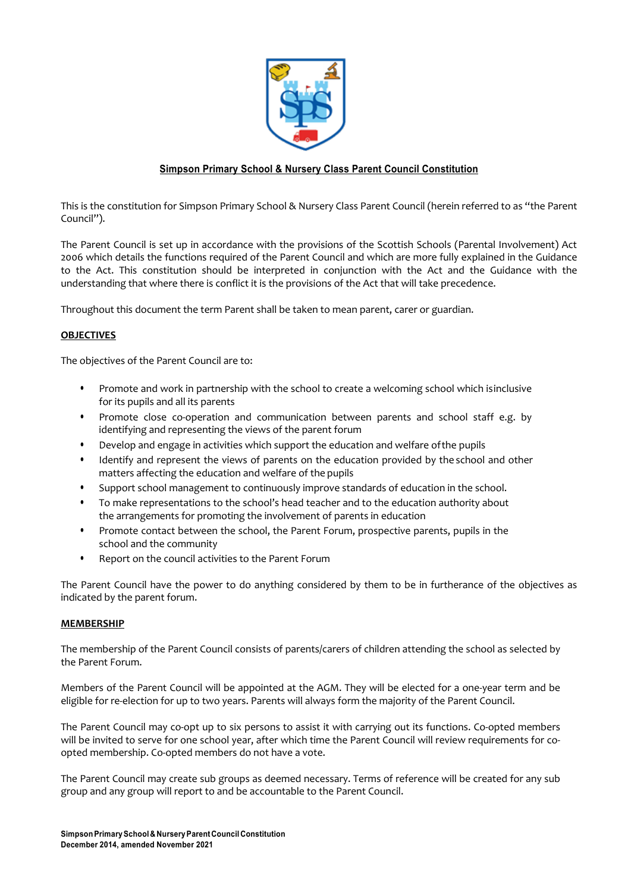

# **Simpson Primary School & Nursery Class Parent Council Constitution**

This is the constitution for Simpson Primary School & Nursery Class Parent Council (herein referred to as "the Parent Council").

The Parent Council is set up in accordance with the provisions of the Scottish Schools (Parental Involvement) Act 2006 which details the functions required of the Parent Council and which are more fully explained in the Guidance to the Act. This constitution should be interpreted in conjunction with the Act and the Guidance with the understanding that where there is conflict it is the provisions of the Act that will take precedence.

Throughout this document the term Parent shall be taken to mean parent, carer or guardian.

## **OBJECTIVES**

The objectives of the Parent Council are to:

- Promote and work in partnership with the school to create a welcoming school which isinclusive for its pupils and all its parents
- Promote close co-operation and communication between parents and school staff e.g. by identifying and representing the views of the parent forum
- Develop and engage in activities which support the education and welfare ofthe pupils
- Identify and represent the views of parents on the education provided by the school and other matters affecting the education and welfare of the pupils
- Support school management to continuously improve standards of education in the school.
- To make representations to the school's head teacher and to the education authority about the arrangements for promoting the involvement of parents in education
- Promote contact between the school, the Parent Forum, prospective parents, pupils in the school and the community
- Report on the council activities to the Parent Forum

The Parent Council have the power to do anything considered by them to be in furtherance of the objectives as indicated by the parent forum.

### **MEMBERSHIP**

The membership of the Parent Council consists of parents/carers of children attending the school as selected by the Parent Forum.

Members of the Parent Council will be appointed at the AGM. They will be elected for a one-year term and be eligible for re-election for up to two years. Parents will always form the majority of the Parent Council.

The Parent Council may co-opt up to six persons to assist it with carrying out its functions. Co-opted members will be invited to serve for one school year, after which time the Parent Council will review requirements for coopted membership. Co-opted members do not have a vote.

The Parent Council may create sub groups as deemed necessary. Terms of reference will be created for any sub group and any group will report to and be accountable to the Parent Council.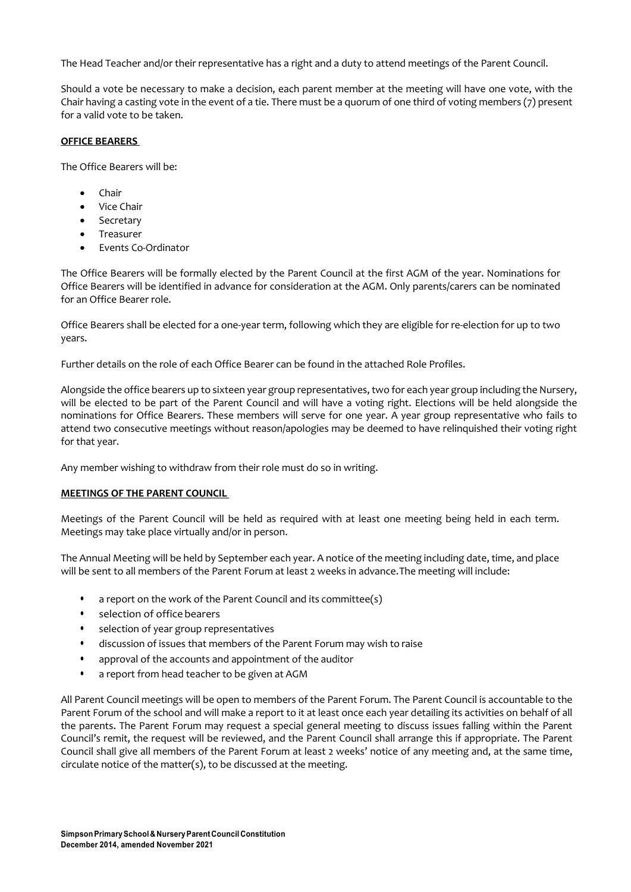The Head Teacher and/or their representative has a right and a duty to attend meetings of the Parent Council.

Should a vote be necessary to make a decision, each parent member at the meeting will have one vote, with the Chair having a casting vote in the event of a tie. There must be a quorum of one third of voting members (7) present for a valid vote to be taken.

### **OFFICE BEARERS**

The Office Bearers will be:

- Chair
- Vice Chair
- Secretary
- **Treasurer**
- Events Co-Ordinator

The Office Bearers will be formally elected by the Parent Council at the first AGM of the year. Nominations for Office Bearers will be identified in advance for consideration at the AGM. Only parents/carers can be nominated for an Office Bearer role.

Office Bearers shall be elected for a one-year term, following which they are eligible for re-election for up to two years.

Further details on the role of each Office Bearer can be found in the attached Role Profiles.

Alongside the office bearers up to sixteen year group representatives, two for each year group including the Nursery, will be elected to be part of the Parent Council and will have a voting right. Elections will be held alongside the nominations for Office Bearers. These members will serve for one year. A year group representative who fails to attend two consecutive meetings without reason/apologies may be deemed to have relinquished their voting right for that year.

Any member wishing to withdraw from their role must do so in writing.

# **MEETINGS OF THE PARENT COUNCIL**

Meetings of the Parent Council will be held as required with at least one meeting being held in each term. Meetings may take place virtually and/or in person.

The Annual Meeting will be held by September each year. A notice of the meeting including date, time, and place will be sent to all members of the Parent Forum at least 2 weeks in advance.The meeting will include:

- a report on the work of the Parent Council and its committee(s)
- selection of office bearers
- selection of year group representatives
- discussion of issues that members of the Parent Forum may wish to raise
- approval of the accounts and appointment of the auditor
- a report from head teacher to be given at AGM

All Parent Council meetings will be open to members of the Parent Forum. The Parent Council is accountable to the Parent Forum of the school and will make a report to it at least once each year detailing its activities on behalf of all the parents. The Parent Forum may request a special general meeting to discuss issues falling within the Parent Council's remit, the request will be reviewed, and the Parent Council shall arrange this if appropriate. The Parent Council shall give all members of the Parent Forum at least 2 weeks' notice of any meeting and, at the same time, circulate notice of the matter(s), to be discussed at the meeting.